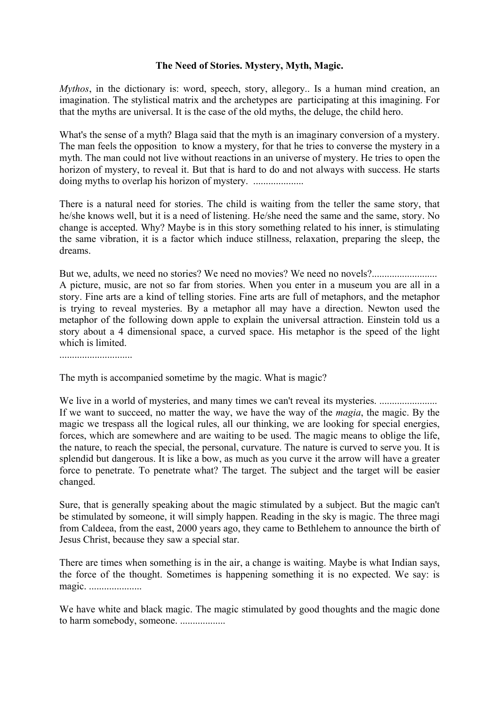## **The Need of Stories. Mystery, Myth, Magic.**

*Mythos*, in the dictionary is: word, speech, story, allegory.. Is a human mind creation, an imagination. The stylistical matrix and the archetypes are participating at this imagining. For that the myths are universal. It is the case of the old myths, the deluge, the child hero.

What's the sense of a myth? Blaga said that the myth is an imaginary conversion of a mystery. The man feels the opposition to know a mystery, for that he tries to converse the mystery in a myth. The man could not live without reactions in an universe of mystery. He tries to open the horizon of mystery, to reveal it. But that is hard to do and not always with success. He starts doing myths to overlap his horizon of mystery. ....................

There is a natural need for stories. The child is waiting from the teller the same story, that he/she knows well, but it is a need of listening. He/she need the same and the same, story. No change is accepted. Why? Maybe is in this story something related to his inner, is stimulating the same vibration, it is a factor which induce stillness, relaxation, preparing the sleep, the dreams.

But we, adults, we need no stories? We need no movies? We need no novels?.......................... A picture, music, are not so far from stories. When you enter in a museum you are all in a story. Fine arts are a kind of telling stories. Fine arts are full of metaphors, and the metaphor is trying to reveal mysteries. By a metaphor all may have a direction. Newton used the metaphor of the following down apple to explain the universal attraction. Einstein told us a story about a 4 dimensional space, a curved space. His metaphor is the speed of the light which is limited.

.............................

The myth is accompanied sometime by the magic. What is magic?

We live in a world of mysteries, and many times we can't reveal its mysteries. ............................... If we want to succeed, no matter the way, we have the way of the *magia*, the magic. By the magic we trespass all the logical rules, all our thinking, we are looking for special energies, forces, which are somewhere and are waiting to be used. The magic means to oblige the life, the nature, to reach the special, the personal, curvature. The nature is curved to serve you. It is splendid but dangerous. It is like a bow, as much as you curve it the arrow will have a greater force to penetrate. To penetrate what? The target. The subject and the target will be easier changed.

Sure, that is generally speaking about the magic stimulated by a subject. But the magic can't be stimulated by someone, it will simply happen. Reading in the sky is magic. The three magi from Caldeea, from the east, 2000 years ago, they came to Bethlehem to announce the birth of Jesus Christ, because they saw a special star.

There are times when something is in the air, a change is waiting. Maybe is what Indian says, the force of the thought. Sometimes is happening something it is no expected. We say: is magic. .....................

We have white and black magic. The magic stimulated by good thoughts and the magic done to harm somebody, someone. ..................